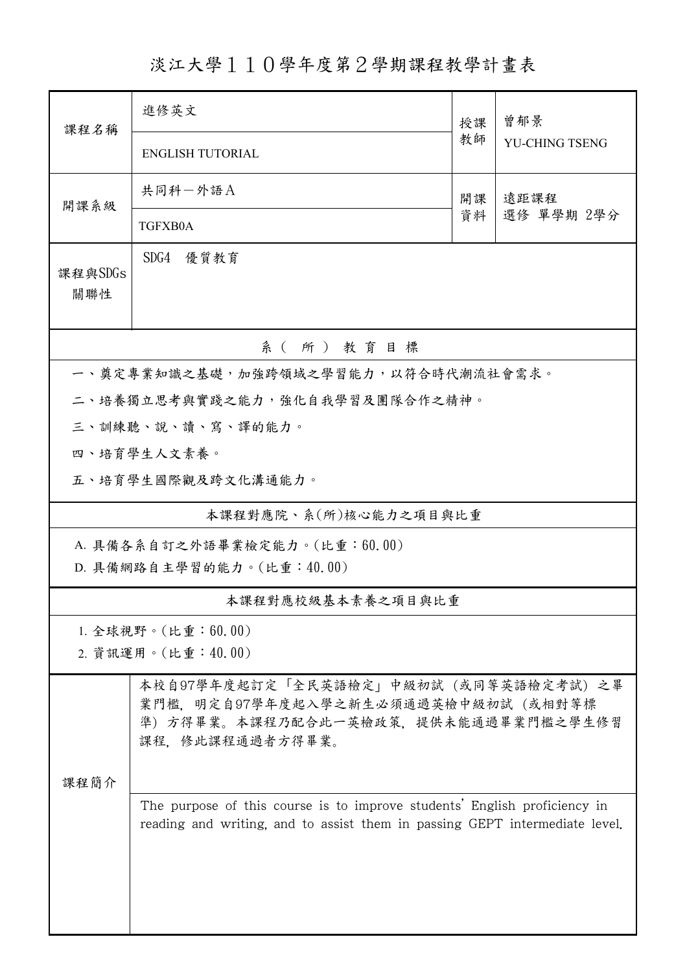淡江大學110學年度第2學期課程教學計畫表

| 課程名稱                                                                                                                                                             | 進修英文                                                                                                                                   | 授課 | 曾郁景<br><b>YU-CHING TSENG</b> |  |  |  |
|------------------------------------------------------------------------------------------------------------------------------------------------------------------|----------------------------------------------------------------------------------------------------------------------------------------|----|------------------------------|--|--|--|
|                                                                                                                                                                  | <b>ENGLISH TUTORIAL</b>                                                                                                                | 教師 |                              |  |  |  |
| 開課系級                                                                                                                                                             | 共同科一外語A                                                                                                                                | 開課 | 遠距課程<br>選修 單學期 2學分           |  |  |  |
|                                                                                                                                                                  | TGFXB0A                                                                                                                                | 資料 |                              |  |  |  |
| 課程與SDGs<br>關聯性                                                                                                                                                   | SDG4<br>優質教育                                                                                                                           |    |                              |  |  |  |
|                                                                                                                                                                  | 系(所)教育目標                                                                                                                               |    |                              |  |  |  |
|                                                                                                                                                                  | 一、奠定專業知識之基礎,加強跨領域之學習能力,以符合時代潮流社會需求。                                                                                                    |    |                              |  |  |  |
|                                                                                                                                                                  | 二、培養獨立思考與實踐之能力,強化自我學習及團隊合作之精神。                                                                                                         |    |                              |  |  |  |
|                                                                                                                                                                  | 三、訓練聽、說、讀、寫、譯的能力。                                                                                                                      |    |                              |  |  |  |
|                                                                                                                                                                  | 四、培育學生人文素養。                                                                                                                            |    |                              |  |  |  |
|                                                                                                                                                                  | 五、培育學生國際觀及跨文化溝通能力。                                                                                                                     |    |                              |  |  |  |
| 本課程對應院、系(所)核心能力之項目與比重                                                                                                                                            |                                                                                                                                        |    |                              |  |  |  |
| A. 具備各系自訂之外語畢業檢定能力。(比重:60.00)<br>D. 具備網路自主學習的能力。(比重:40.00)                                                                                                       |                                                                                                                                        |    |                              |  |  |  |
| 本課程對應校級基本素養之項目與比重                                                                                                                                                |                                                                                                                                        |    |                              |  |  |  |
| 1. 全球視野。(比重:60.00)<br>2. 資訊運用。(比重:40.00)                                                                                                                         |                                                                                                                                        |    |                              |  |  |  |
|                                                                                                                                                                  | 本校自97學年度起訂定「全民英語檢定」中級初試 (或同等英語檢定考試) 之畢<br>業門檻,明定自97學年度起入學之新生必須通過英檢中級初試(或相對等標<br>準)方得畢業。本課程乃配合此一英檢政策,提供未能通過畢業門檻之學生修習<br>課程、修此課程通過者方得畢業。 |    |                              |  |  |  |
| 課程簡介<br>The purpose of this course is to improve students' English proficiency in<br>reading and writing, and to assist them in passing GEPT intermediate level. |                                                                                                                                        |    |                              |  |  |  |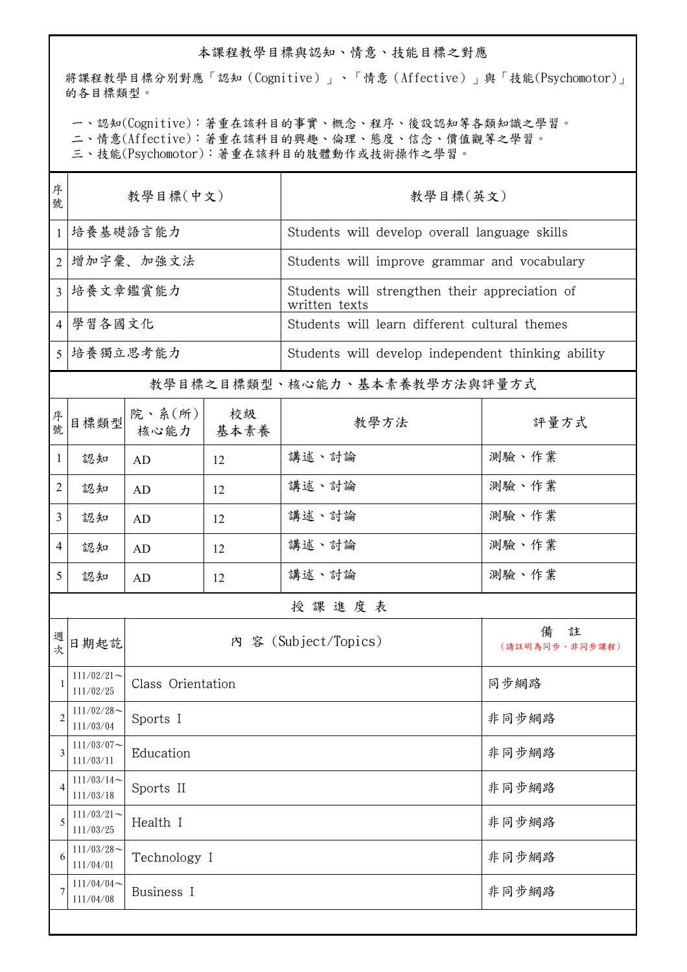## 本課程教學目標與認知、情意、技能目標之對應

將課程教學目標分別對應「認知(Cognitive)」、「情意(Affective)」與「技能(Psychomotor)」 的各目標類型。

一、認知(Cognitive):著重在該科目的事實、概念、程序、後設認知等各類知識之學習。

二、情意(Affective):著重在該科目的興趣、倫理、態度、信念、價值觀等之學習。

三、技能(Psychomotor):著重在該科目的肢體動作或技術操作之學習。

| 序<br>號         | 教學目標(中文)                     |                               |    | 教學目標(英文)                                                        |                          |  |
|----------------|------------------------------|-------------------------------|----|-----------------------------------------------------------------|--------------------------|--|
| $\mathbf{1}$   | 培養基礎語言能力                     |                               |    | Students will develop overall language skills                   |                          |  |
| $\overline{2}$ | 增加字彙、加強文法                    |                               |    | Students will improve grammar and vocabulary                    |                          |  |
| 3              | 培養文章鑑賞能力                     |                               |    | Students will strengthen their appreciation of<br>written texts |                          |  |
| $\overline{4}$ | 學習各國文化                       |                               |    | Students will learn different cultural themes                   |                          |  |
| 5 <sup>1</sup> | 培養獨立思考能力                     |                               |    | Students will develop independent thinking ability              |                          |  |
|                | 教學目標之目標類型、核心能力、基本素養教學方法與評量方式 |                               |    |                                                                 |                          |  |
| 序號             | 目標類型                         | 院、系 $(\kappa)$<br>核心能力   基本素養 | 校級 | 教學方法                                                            | 評量方式                     |  |
| 1              | 認知                           | AD                            | 12 | 講述、討論                                                           | 測驗、作業                    |  |
| $\overline{2}$ | 認知                           | AD                            | 12 | 講述、討論                                                           | 測驗、作業                    |  |
| $\mathfrak{Z}$ | 認知                           | AD                            | 12 | 講述、討論                                                           | 測驗、作業                    |  |
| 4              | 認知                           | AD                            | 12 | 講述、討論                                                           | 測驗、作業                    |  |
| 5              | 認知                           | AD                            | 12 | 講述、討論                                                           | 測驗、作業                    |  |
|                | 授課進度表                        |                               |    |                                                                 |                          |  |
| 週次             | 日期起訖                         | 內 容 (Subject/Topics)          |    |                                                                 | 備<br>註<br>(請註明為同步、非同步課程) |  |
| $\mathbf{1}$   | $111/02/21$ ~<br>111/02/25   | Class Orientation             |    |                                                                 | 同步網路                     |  |
| 2              | $111/02/28$ ~<br>111/03/04   | Sports I                      |    |                                                                 | 非同步網路                    |  |
| 3              | $111/03/07$ ~<br>111/03/11   | Education                     |    |                                                                 | 非同步網路                    |  |
| 4              | $111/03/14$ ~<br>111/03/18   | Sports II                     |    |                                                                 | 非同步網路                    |  |
| 5              | $111/03/21$ ~<br>111/03/25   | Health I                      |    |                                                                 | 非同步網路                    |  |
| 6              | $111/03/28$ ~<br>111/04/01   | Technology I                  |    |                                                                 | 非同步網路                    |  |
| 7              | $111/04/04$ ~<br>111/04/08   | Business I                    |    |                                                                 | 非同步網路                    |  |
|                |                              |                               |    |                                                                 |                          |  |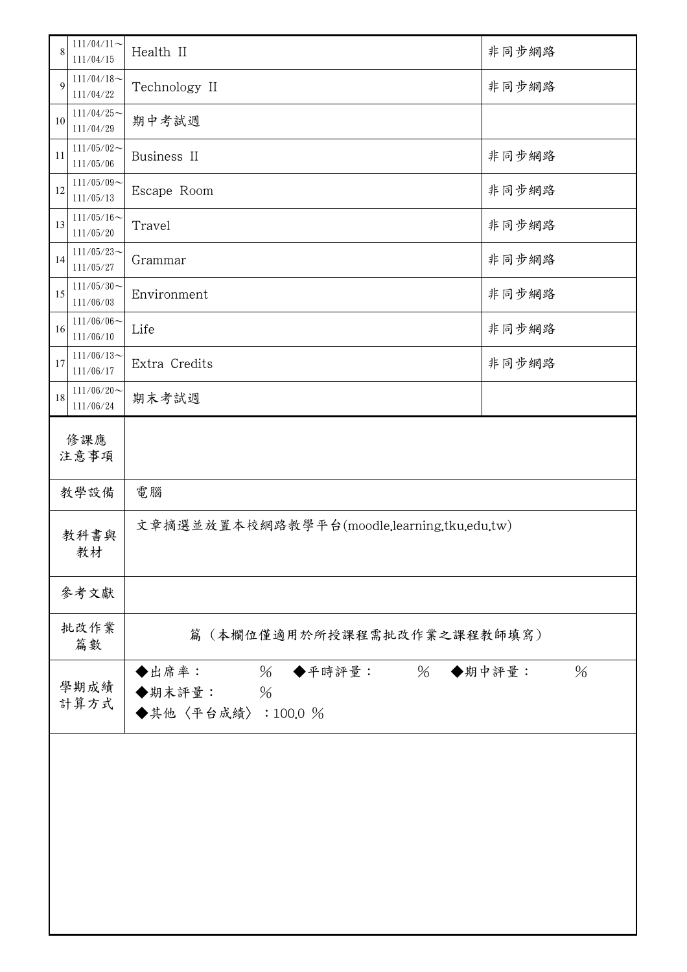| 8           | $111/04/11$ ~<br>111/04/15 | Health II                                                                   | 非同步網路 |  |  |
|-------------|----------------------------|-----------------------------------------------------------------------------|-------|--|--|
| 9           | $111/04/18$ ~<br>111/04/22 | Technology II                                                               | 非同步網路 |  |  |
| $10\,$      | $111/04/25$ ~<br>111/04/29 | 期中考試週                                                                       |       |  |  |
| 11          | $111/05/02$ ~<br>111/05/06 | Business II                                                                 | 非同步網路 |  |  |
| 12          | $111/05/09$ ~<br>111/05/13 | Escape Room                                                                 | 非同步網路 |  |  |
| 13          | $111/05/16$ ~<br>111/05/20 | Travel                                                                      | 非同步網路 |  |  |
| 14          | $111/05/23$ ~<br>111/05/27 | Grammar                                                                     | 非同步網路 |  |  |
| 15          | $111/05/30$ ~<br>111/06/03 | Environment                                                                 | 非同步網路 |  |  |
| 16          | $111/06/06$ ~<br>111/06/10 | Life                                                                        | 非同步網路 |  |  |
| $17$        | $111/06/13$ ~<br>111/06/17 | Extra Credits                                                               | 非同步網路 |  |  |
| $18\,$      | $111/06/20$ ~<br>111/06/24 | 期末考試週                                                                       |       |  |  |
| 修課應<br>注意事項 |                            |                                                                             |       |  |  |
| 教學設備        |                            | 電腦                                                                          |       |  |  |
| 教科書與<br>教材  |                            | 文章摘選並放置本校網路教學平台(moodle.learning.tku.edu.tw)                                 |       |  |  |
|             | 參考文獻                       |                                                                             |       |  |  |
| 批改作業<br>篇數  |                            | 篇(本欄位僅適用於所授課程需批改作業之課程教師填寫)                                                  |       |  |  |
|             | 學期成績<br>計算方式               | ◆出席率:<br>$\%$<br>% ◆期中評量:<br>◆平時評量:<br>◆期末評量:<br>$\%$<br>◆其他〈平台成績〉: 100.0 % | %     |  |  |
|             |                            |                                                                             |       |  |  |
|             |                            |                                                                             |       |  |  |